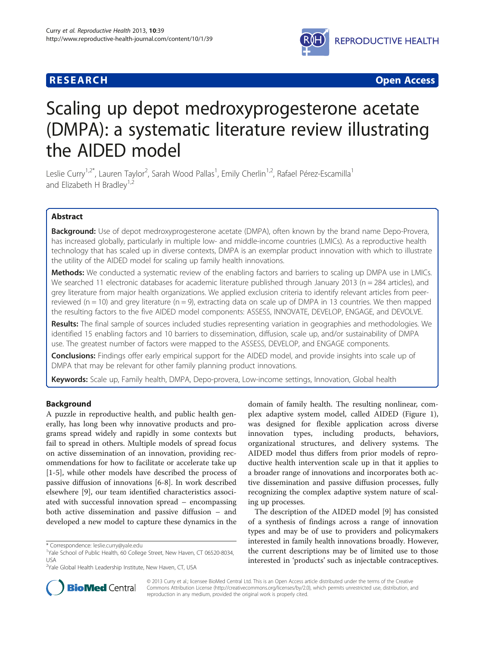# **RESEARCH CHINESE ARCH CHINESE ARCH CHINESE ARCH <b>CHINESE ARCH**



# Scaling up depot medroxyprogesterone acetate (DMPA): a systematic literature review illustrating the AIDED model

Leslie Curry<sup>1,2\*</sup>, Lauren Taylor<sup>2</sup>, Sarah Wood Pallas<sup>1</sup>, Emily Cherlin<sup>1,2</sup>, Rafael Pérez-Escamilla<sup>1</sup> and Elizabeth H Bradley<sup>1,2</sup>

# Abstract

Background: Use of depot medroxyprogesterone acetate (DMPA), often known by the brand name Depo-Provera, has increased globally, particularly in multiple low- and middle-income countries (LMICs). As a reproductive health technology that has scaled up in diverse contexts, DMPA is an exemplar product innovation with which to illustrate the utility of the AIDED model for scaling up family health innovations.

**Methods:** We conducted a systematic review of the enabling factors and barriers to scaling up DMPA use in LMICs. We searched 11 electronic databases for academic literature published through January 2013 (n = 284 articles), and grey literature from major health organizations. We applied exclusion criteria to identify relevant articles from peerreviewed ( $n = 10$ ) and grey literature ( $n = 9$ ), extracting data on scale up of DMPA in 13 countries. We then mapped the resulting factors to the five AIDED model components: ASSESS, INNOVATE, DEVELOP, ENGAGE, and DEVOLVE.

Results: The final sample of sources included studies representing variation in geographies and methodologies. We identified 15 enabling factors and 10 barriers to dissemination, diffusion, scale up, and/or sustainability of DMPA use. The greatest number of factors were mapped to the ASSESS, DEVELOP, and ENGAGE components.

**Conclusions:** Findings offer early empirical support for the AIDED model, and provide insights into scale up of DMPA that may be relevant for other family planning product innovations.

Keywords: Scale up, Family health, DMPA, Depo-provera, Low-income settings, Innovation, Global health

## Background

A puzzle in reproductive health, and public health generally, has long been why innovative products and programs spread widely and rapidly in some contexts but fail to spread in others. Multiple models of spread focus on active dissemination of an innovation, providing recommendations for how to facilitate or accelerate take up [[1-5](#page-10-0)], while other models have described the process of passive diffusion of innovations [\[6](#page-10-0)-[8\]](#page-10-0). In work described elsewhere [\[9](#page-10-0)], our team identified characteristics associated with successful innovation spread – encompassing both active dissemination and passive diffusion – and developed a new model to capture these dynamics in the

domain of family health. The resulting nonlinear, complex adaptive system model, called AIDED (Figure [1](#page-1-0)), was designed for flexible application across diverse innovation types, including products, behaviors, organizational structures, and delivery systems. The AIDED model thus differs from prior models of reproductive health intervention scale up in that it applies to a broader range of innovations and incorporates both active dissemination and passive diffusion processes, fully recognizing the complex adaptive system nature of scaling up processes.

The description of the AIDED model [[9\]](#page-10-0) has consisted of a synthesis of findings across a range of innovation types and may be of use to providers and policymakers interested in family health innovations broadly. However, the current descriptions may be of limited use to those interested in 'products' such as injectable contraceptives.



© 2013 Curry et al.; licensee BioMed Central Ltd. This is an Open Access article distributed under the terms of the Creative Commons Attribution License [\(http://creativecommons.org/licenses/by/2.0\)](http://creativecommons.org/licenses/by/2.0), which permits unrestricted use, distribution, and reproduction in any medium, provided the original work is properly cited.

<sup>\*</sup> Correspondence: [leslie.curry@yale.edu](mailto:leslie.curry@yale.edu) <sup>1</sup>

<sup>&</sup>lt;sup>1</sup>Yale School of Public Health, 60 College Street, New Haven, CT 06520-8034, USA

<sup>&</sup>lt;sup>2</sup>Yale Global Health Leadership Institute, New Haven, CT, USA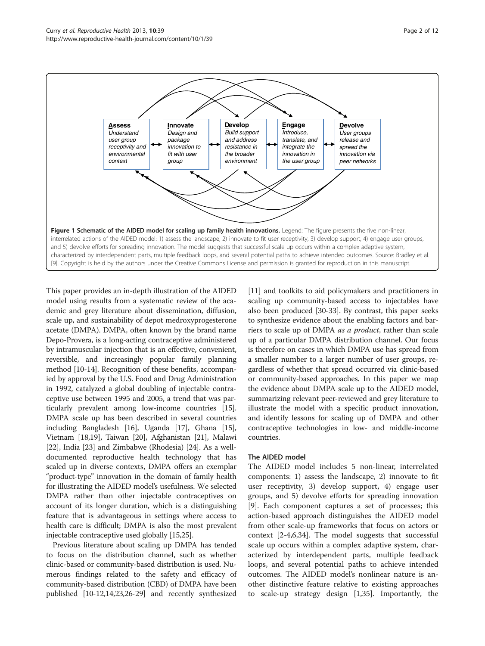<span id="page-1-0"></span>

This paper provides an in-depth illustration of the AIDED model using results from a systematic review of the academic and grey literature about dissemination, diffusion, scale up, and sustainability of depot medroxyprogesterone acetate (DMPA). DMPA, often known by the brand name Depo-Provera, is a long-acting contraceptive administered by intramuscular injection that is an effective, convenient, reversible, and increasingly popular family planning method [[10](#page-10-0)-[14](#page-10-0)]. Recognition of these benefits, accompanied by approval by the U.S. Food and Drug Administration in 1992, catalyzed a global doubling of injectable contraceptive use between 1995 and 2005, a trend that was particularly prevalent among low-income countries [[15](#page-10-0)]. DMPA scale up has been described in several countries including Bangladesh [[16](#page-10-0)], Uganda [\[17\]](#page-10-0), Ghana [[15](#page-10-0)], Vietnam [[18](#page-10-0)[,19](#page-11-0)], Taiwan [\[20\]](#page-11-0), Afghanistan [[21](#page-11-0)], Malawi [[22](#page-11-0)], India [\[23\]](#page-11-0) and Zimbabwe (Rhodesia) [[24](#page-11-0)]. As a welldocumented reproductive health technology that has scaled up in diverse contexts, DMPA offers an exemplar "product-type" innovation in the domain of family health for illustrating the AIDED model's usefulness. We selected DMPA rather than other injectable contraceptives on account of its longer duration, which is a distinguishing feature that is advantageous in settings where access to health care is difficult; DMPA is also the most prevalent injectable contraceptive used globally [\[15,](#page-10-0)[25](#page-11-0)].

Previous literature about scaling up DMPA has tended to focus on the distribution channel, such as whether clinic-based or community-based distribution is used. Numerous findings related to the safety and efficacy of community-based distribution (CBD) of DMPA have been published [[10-12,14](#page-10-0)[,23,26-29\]](#page-11-0) and recently synthesized [[11](#page-10-0)] and toolkits to aid policymakers and practitioners in scaling up community-based access to injectables have also been produced [[30](#page-11-0)-[33](#page-11-0)]. By contrast, this paper seeks to synthesize evidence about the enabling factors and barriers to scale up of DMPA as a product, rather than scale up of a particular DMPA distribution channel. Our focus is therefore on cases in which DMPA use has spread from a smaller number to a larger number of user groups, regardless of whether that spread occurred via clinic-based or community-based approaches. In this paper we map the evidence about DMPA scale up to the AIDED model, summarizing relevant peer-reviewed and grey literature to illustrate the model with a specific product innovation, and identify lessons for scaling up of DMPA and other contraceptive technologies in low- and middle-income countries.

## The AIDED model

The AIDED model includes 5 non-linear, interrelated components: 1) assess the landscape, 2) innovate to fit user receptivity, 3) develop support, 4) engage user groups, and 5) devolve efforts for spreading innovation [[9\]](#page-10-0). Each component captures a set of processes; this action-based approach distinguishes the AIDED model from other scale-up frameworks that focus on actors or context [\[2](#page-10-0)-[4,6,](#page-10-0)[34\]](#page-11-0). The model suggests that successful scale up occurs within a complex adaptive system, characterized by interdependent parts, multiple feedback loops, and several potential paths to achieve intended outcomes. The AIDED model's nonlinear nature is another distinctive feature relative to existing approaches to scale-up strategy design [[1,](#page-10-0)[35\]](#page-11-0). Importantly, the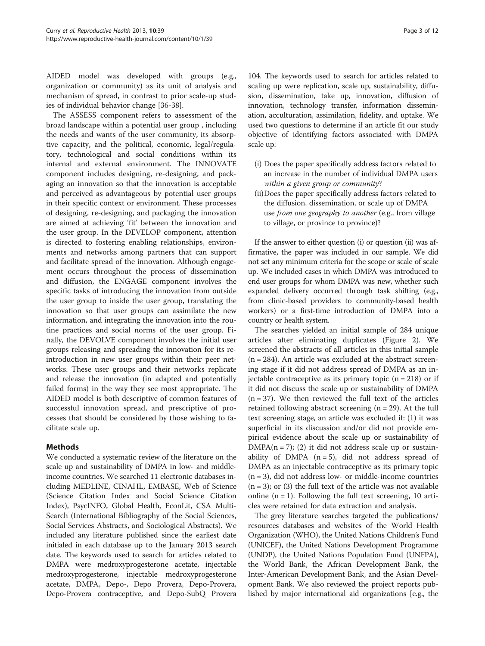AIDED model was developed with groups (e.g., organization or community) as its unit of analysis and mechanism of spread, in contrast to prior scale-up studies of individual behavior change [\[36-38](#page-11-0)].

The ASSESS component refers to assessment of the broad landscape within a potential user group , including the needs and wants of the user community, its absorptive capacity, and the political, economic, legal/regulatory, technological and social conditions within its internal and external environment. The INNOVATE component includes designing, re-designing, and packaging an innovation so that the innovation is acceptable and perceived as advantageous by potential user groups in their specific context or environment. These processes of designing, re-designing, and packaging the innovation are aimed at achieving 'fit' between the innovation and the user group. In the DEVELOP component, attention is directed to fostering enabling relationships, environments and networks among partners that can support and facilitate spread of the innovation. Although engagement occurs throughout the process of dissemination and diffusion, the ENGAGE component involves the specific tasks of introducing the innovation from outside the user group to inside the user group, translating the innovation so that user groups can assimilate the new information, and integrating the innovation into the routine practices and social norms of the user group. Finally, the DEVOLVE component involves the initial user groups releasing and spreading the innovation for its reintroduction in new user groups within their peer networks. These user groups and their networks replicate and release the innovation (in adapted and potentially failed forms) in the way they see most appropriate. The AIDED model is both descriptive of common features of successful innovation spread, and prescriptive of processes that should be considered by those wishing to facilitate scale up.

## Methods

We conducted a systematic review of the literature on the scale up and sustainability of DMPA in low- and middleincome countries. We searched 11 electronic databases including MEDLINE, CINAHL, EMBASE, Web of Science (Science Citation Index and Social Science Citation Index), PsycINFO, Global Health, EconLit, CSA Multi-Search (International Bibliography of the Social Sciences, Social Services Abstracts, and Sociological Abstracts). We included any literature published since the earliest date initialed in each database up to the January 2013 search date. The keywords used to search for articles related to DMPA were medroxyprogesterone acetate, injectable medroxyprogesterone, injectable medroxyprogesterone acetate, DMPA, Depo-, Depo Provera, Depo-Provera, Depo-Provera contraceptive, and Depo-SubQ Provera

104. The keywords used to search for articles related to scaling up were replication, scale up, sustainability, diffusion, dissemination, take up, innovation, diffusion of innovation, technology transfer, information dissemination, acculturation, assimilation, fidelity, and uptake. We used two questions to determine if an article fit our study objective of identifying factors associated with DMPA scale up:

- (i) Does the paper specifically address factors related to an increase in the number of individual DMPA users within a given group or community?
- (ii)Does the paper specifically address factors related to the diffusion, dissemination, or scale up of DMPA use from one geography to another (e.g., from village to village, or province to province)?

If the answer to either question (i) or question (ii) was affirmative, the paper was included in our sample. We did not set any minimum criteria for the scope or scale of scale up. We included cases in which DMPA was introduced to end user groups for whom DMPA was new, whether such expanded delivery occurred through task shifting (e.g., from clinic-based providers to community-based health workers) or a first-time introduction of DMPA into a country or health system.

The searches yielded an initial sample of 284 unique articles after eliminating duplicates (Figure [2](#page-3-0)). We screened the abstracts of all articles in this initial sample  $(n = 284)$ . An article was excluded at the abstract screening stage if it did not address spread of DMPA as an injectable contraceptive as its primary topic  $(n = 218)$  or if it did not discuss the scale up or sustainability of DMPA  $(n = 37)$ . We then reviewed the full text of the articles retained following abstract screening  $(n = 29)$ . At the full text screening stage, an article was excluded if: (1) it was superficial in its discussion and/or did not provide empirical evidence about the scale up or sustainability of  $DMPA(n = 7)$ ; (2) it did not address scale up or sustainability of DMPA  $(n = 5)$ , did not address spread of DMPA as an injectable contraceptive as its primary topic  $(n = 3)$ , did not address low- or middle-income countries  $(n = 3)$ ; or (3) the full text of the article was not available online  $(n = 1)$ . Following the full text screening, 10 articles were retained for data extraction and analysis.

The grey literature searches targeted the publications/ resources databases and websites of the World Health Organization (WHO), the United Nations Children's Fund (UNICEF), the United Nations Development Programme (UNDP), the United Nations Population Fund (UNFPA), the World Bank, the African Development Bank, the Inter-American Development Bank, and the Asian Development Bank. We also reviewed the project reports published by major international aid organizations [e.g., the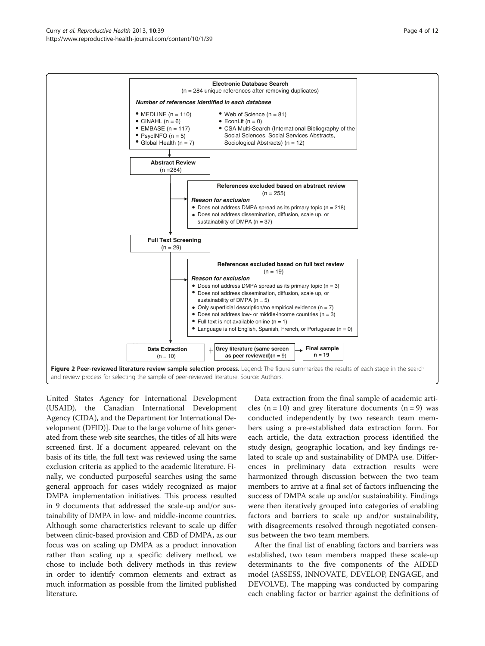<span id="page-3-0"></span>

United States Agency for International Development (USAID), the Canadian International Development Agency (CIDA), and the Department for International Development (DFID)]. Due to the large volume of hits generated from these web site searches, the titles of all hits were screened first. If a document appeared relevant on the basis of its title, the full text was reviewed using the same exclusion criteria as applied to the academic literature. Finally, we conducted purposeful searches using the same general approach for cases widely recognized as major DMPA implementation initiatives. This process resulted in 9 documents that addressed the scale-up and/or sustainability of DMPA in low- and middle-income countries. Although some characteristics relevant to scale up differ between clinic-based provision and CBD of DMPA, as our focus was on scaling up DMPA as a product innovation rather than scaling up a specific delivery method, we chose to include both delivery methods in this review in order to identify common elements and extract as much information as possible from the limited published literature.

Data extraction from the final sample of academic articles  $(n = 10)$  and grey literature documents  $(n = 9)$  was conducted independently by two research team members using a pre-established data extraction form. For each article, the data extraction process identified the study design, geographic location, and key findings related to scale up and sustainability of DMPA use. Differences in preliminary data extraction results were harmonized through discussion between the two team members to arrive at a final set of factors influencing the success of DMPA scale up and/or sustainability. Findings were then iteratively grouped into categories of enabling factors and barriers to scale up and/or sustainability, with disagreements resolved through negotiated consensus between the two team members.

After the final list of enabling factors and barriers was established, two team members mapped these scale-up determinants to the five components of the AIDED model (ASSESS, INNOVATE, DEVELOP, ENGAGE, and DEVOLVE). The mapping was conducted by comparing each enabling factor or barrier against the definitions of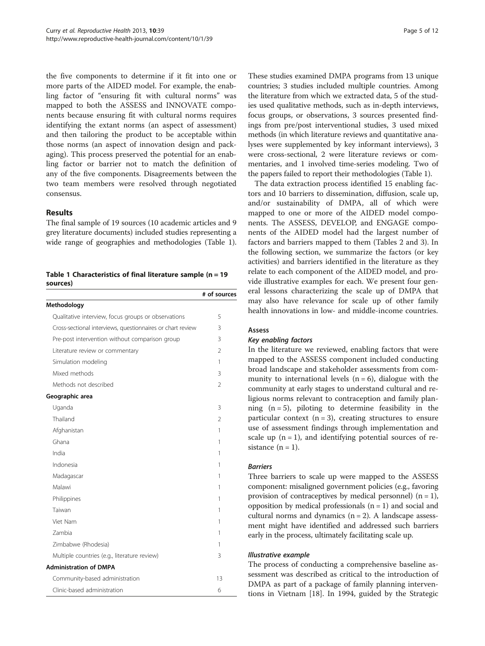the five components to determine if it fit into one or more parts of the AIDED model. For example, the enabling factor of "ensuring fit with cultural norms" was mapped to both the ASSESS and INNOVATE components because ensuring fit with cultural norms requires identifying the extant norms (an aspect of assessment) and then tailoring the product to be acceptable within those norms (an aspect of innovation design and packaging). This process preserved the potential for an enabling factor or barrier not to match the definition of any of the five components. Disagreements between the two team members were resolved through negotiated consensus.

### Results

The final sample of 19 sources (10 academic articles and 9 grey literature documents) included studies representing a wide range of geographies and methodologies (Table 1).

Table 1 Characteristics of final literature sample ( $n = 19$ sources)

|                                                            | # of sources   |
|------------------------------------------------------------|----------------|
| Methodology                                                |                |
| Qualitative interview, focus groups or observations        | 5              |
| Cross-sectional interviews, questionnaires or chart review | 3              |
| Pre-post intervention without comparison group             | 3              |
| Literature review or commentary                            | $\mathfrak{D}$ |
| Simulation modeling                                        | 1              |
| Mixed methods                                              | 3              |
| Methods not described                                      | $\mathfrak{D}$ |
| Geographic area                                            |                |
| Uganda                                                     | 3              |
| Thailand                                                   | 2              |
| Afghanistan                                                | 1              |
| Ghana                                                      | 1              |
| India                                                      | 1              |
| Indonesia                                                  | 1              |
| Madagascar                                                 | 1              |
| Malawi                                                     | 1              |
| Philippines                                                | 1              |
| Taiwan                                                     | 1              |
| Viet Nam                                                   | 1              |
| <b>Zambia</b>                                              | 1              |
| Zimbabwe (Rhodesia)                                        | 1              |
| Multiple countries (e.g., literature review)               | 3              |
| <b>Administration of DMPA</b>                              |                |
| Community-based administration                             | 13             |
| Clinic-based administration                                | 6              |
|                                                            |                |

These studies examined DMPA programs from 13 unique countries; 3 studies included multiple countries. Among the literature from which we extracted data, 5 of the studies used qualitative methods, such as in-depth interviews, focus groups, or observations, 3 sources presented findings from pre/post interventional studies, 3 used mixed methods (in which literature reviews and quantitative analyses were supplemented by key informant interviews), 3 were cross-sectional, 2 were literature reviews or commentaries, and 1 involved time-series modeling. Two of the papers failed to report their methodologies (Table 1).

The data extraction process identified 15 enabling factors and 10 barriers to dissemination, diffusion, scale up, and/or sustainability of DMPA, all of which were mapped to one or more of the AIDED model components. The ASSESS, DEVELOP, and ENGAGE components of the AIDED model had the largest number of factors and barriers mapped to them (Tables [2](#page-5-0) and [3\)](#page-5-0). In the following section, we summarize the factors (or key activities) and barriers identified in the literature as they relate to each component of the AIDED model, and provide illustrative examples for each. We present four general lessons characterizing the scale up of DMPA that may also have relevance for scale up of other family health innovations in low- and middle-income countries.

### Assess

In the literature we reviewed, enabling factors that were mapped to the ASSESS component included conducting broad landscape and stakeholder assessments from community to international levels  $(n = 6)$ , dialogue with the community at early stages to understand cultural and religious norms relevant to contraception and family planning  $(n = 5)$ , piloting to determine feasibility in the particular context  $(n = 3)$ , creating structures to ensure use of assessment findings through implementation and scale up  $(n = 1)$ , and identifying potential sources of resistance  $(n = 1)$ .

Three barriers to scale up were mapped to the ASSESS component: misaligned government policies (e.g., favoring provision of contraceptives by medical personnel)  $(n = 1)$ , opposition by medical professionals  $(n = 1)$  and social and cultural norms and dynamics  $(n = 2)$ . A landscape assessment might have identified and addressed such barriers early in the process, ultimately facilitating scale up.

The process of conducting a comprehensive baseline assessment was described as critical to the introduction of DMPA as part of a package of family planning interventions in Vietnam [\[18\]](#page-10-0). In 1994, guided by the Strategic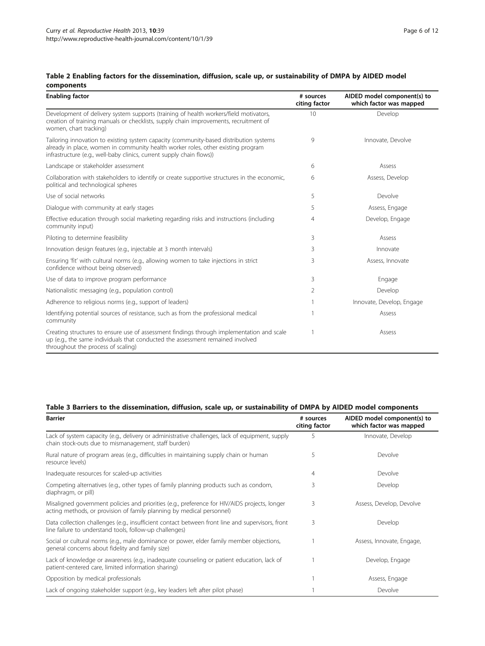## <span id="page-5-0"></span>Table 2 Enabling factors for the dissemination, diffusion, scale up, or sustainability of DMPA by AIDED model components

| <b>Enabling factor</b>                                                                                                                                                                                                                              | # sources<br>citing factor | AIDED model component(s) to<br>which factor was mapped |
|-----------------------------------------------------------------------------------------------------------------------------------------------------------------------------------------------------------------------------------------------------|----------------------------|--------------------------------------------------------|
| Development of delivery system supports (training of health workers/field motivators,<br>creation of training manuals or checklists, supply chain improvements, recruitment of<br>women, chart tracking)                                            | 10                         | Develop                                                |
| Tailoring innovation to existing system capacity (community-based distribution systems<br>already in place, women in community health worker roles, other existing program<br>infrastructure (e.g., well-baby clinics, current supply chain flows)) | 9                          | Innovate, Devolve                                      |
| Landscape or stakeholder assessment                                                                                                                                                                                                                 | 6                          | Assess                                                 |
| Collaboration with stakeholders to identify or create supportive structures in the economic,<br>political and technological spheres                                                                                                                 | 6                          | Assess, Develop                                        |
| Use of social networks                                                                                                                                                                                                                              | 5                          | Devolve                                                |
| Dialogue with community at early stages                                                                                                                                                                                                             | 5                          | Assess, Engage                                         |
| Effective education through social marketing regarding risks and instructions (including<br>community input)                                                                                                                                        | 4                          | Develop, Engage                                        |
| Piloting to determine feasibility                                                                                                                                                                                                                   | 3                          | Assess                                                 |
| Innovation design features (e.g., injectable at 3 month intervals)                                                                                                                                                                                  | 3                          | Innovate                                               |
| Ensuring 'fit' with cultural norms (e.g., allowing women to take injections in strict<br>confidence without being observed)                                                                                                                         | 3                          | Assess, Innovate                                       |
| Use of data to improve program performance                                                                                                                                                                                                          | 3                          | Engage                                                 |
| Nationalistic messaging (e.g., population control)                                                                                                                                                                                                  | 2                          | Develop                                                |
| Adherence to religious norms (e.g., support of leaders)                                                                                                                                                                                             |                            | Innovate, Develop, Engage                              |
| Identifying potential sources of resistance, such as from the professional medical<br>community                                                                                                                                                     | $\overline{1}$             | Assess                                                 |
| Creating structures to ensure use of assessment findings through implementation and scale<br>up (e.g., the same individuals that conducted the assessment remained involved<br>throughout the process of scaling)                                   |                            | Assess                                                 |

# Table 3 Barriers to the dissemination, diffusion, scale up, or sustainability of DMPA by AIDED model components

| <b>Barrier</b>                                                                                                                                                         | # sources<br>citing factor | AIDED model component(s) to<br>which factor was mapped |
|------------------------------------------------------------------------------------------------------------------------------------------------------------------------|----------------------------|--------------------------------------------------------|
| Lack of system capacity (e.g., delivery or administrative challenges, lack of equipment, supply<br>chain stock-outs due to mismanagement, staff burden)                | 5                          | Innovate, Develop                                      |
| Rural nature of program areas (e.g., difficulties in maintaining supply chain or human<br>resource levels)                                                             | 5                          | Devolve                                                |
| Inadequate resources for scaled-up activities                                                                                                                          | 4                          | Devolve                                                |
| Competing alternatives (e.g., other types of family planning products such as condom,<br>diaphragm, or pill)                                                           | 3                          | Develop                                                |
| Misaligned government policies and priorities (e.g., preference for HIV/AIDS projects, longer<br>acting methods, or provision of family planning by medical personnel) | 3                          | Assess, Develop, Devolve                               |
| Data collection challenges (e.g., insufficient contact between front line and supervisors, front<br>line failure to understand tools, follow-up challenges)            | 3                          | Develop                                                |
| Social or cultural norms (e.g., male dominance or power, elder family member objections,<br>general concerns about fidelity and family size)                           |                            | Assess, Innovate, Engage,                              |
| Lack of knowledge or awareness (e.g., inadequate counseling or patient education, lack of<br>patient-centered care, limited information sharing)                       |                            | Develop, Engage                                        |
| Opposition by medical professionals                                                                                                                                    |                            | Assess, Engage                                         |
| Lack of ongoing stakeholder support (e.g., key leaders left after pilot phase)                                                                                         |                            | Devolve                                                |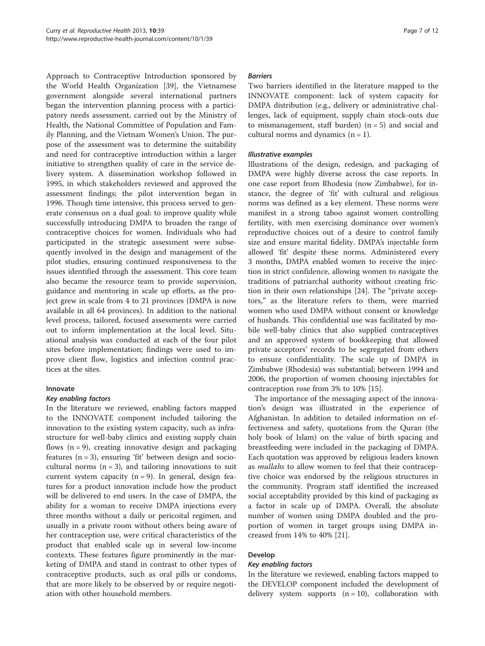Approach to Contraceptive Introduction sponsored by the World Health Organization [[39\]](#page-11-0), the Vietnamese government alongside several international partners began the intervention planning process with a participatory needs assessment, carried out by the Ministry of Health, the National Committee of Population and Family Planning, and the Vietnam Women's Union. The purpose of the assessment was to determine the suitability and need for contraceptive introduction within a larger initiative to strengthen quality of care in the service delivery system. A dissemination workshop followed in 1995, in which stakeholders reviewed and approved the assessment findings; the pilot intervention began in 1996. Though time intensive, this process served to generate consensus on a dual goal: to improve quality while successfully introducing DMPA to broaden the range of contraceptive choices for women. Individuals who had participated in the strategic assessment were subsequently involved in the design and management of the pilot studies, ensuring continued responsiveness to the issues identified through the assessment. This core team also became the resource team to provide supervision, guidance and mentoring in scale up efforts, as the project grew in scale from 4 to 21 provinces (DMPA is now available in all 64 provinces). In addition to the national level process, tailored, focused assessments were carried out to inform implementation at the local level. Situational analysis was conducted at each of the four pilot sites before implementation; findings were used to improve client flow, logistics and infection control practices at the sites.

### Innovate

In the literature we reviewed, enabling factors mapped to the INNOVATE component included tailoring the innovation to the existing system capacity, such as infrastructure for well-baby clinics and existing supply chain flows  $(n = 9)$ , creating innovative design and packaging features  $(n = 3)$ , ensuring 'fit' between design and sociocultural norms  $(n = 3)$ , and tailoring innovations to suit current system capacity  $(n = 9)$ . In general, design features for a product innovation include how the product will be delivered to end users. In the case of DMPA, the ability for a woman to receive DMPA injections every three months without a daily or pericoital regimen, and usually in a private room without others being aware of her contraception use, were critical characteristics of the product that enabled scale up in several low-income contexts. These features figure prominently in the marketing of DMPA and stand in contrast to other types of contraceptive products, such as oral pills or condoms, that are more likely to be observed by or require negotiation with other household members.

### **Rarriors**

Two barriers identified in the literature mapped to the INNOVATE component: lack of system capacity for DMPA distribution (e.g., delivery or administrative challenges, lack of equipment, supply chain stock-outs due to mismanagement, staff burden)  $(n = 5)$  and social and cultural norms and dynamics  $(n = 1)$ .

Illustrations of the design, redesign, and packaging of DMPA were highly diverse across the case reports. In one case report from Rhodesia (now Zimbabwe), for instance, the degree of 'fit' with cultural and religious norms was defined as a key element. These norms were manifest in a strong taboo against women controlling fertility, with men exercising dominance over women's reproductive choices out of a desire to control family size and ensure marital fidelity. DMPA's injectable form allowed 'fit' despite these norms. Administered every 3 months, DMPA enabled women to receive the injection in strict confidence, allowing women to navigate the traditions of patriarchal authority without creating friction in their own relationships [[24](#page-11-0)]. The "private acceptors," as the literature refers to them, were married women who used DMPA without consent or knowledge of husbands. This confidential use was facilitated by mobile well-baby clinics that also supplied contraceptives and an approved system of bookkeeping that allowed private acceptors' records to be segregated from others to ensure confidentiality. The scale up of DMPA in Zimbabwe (Rhodesia) was substantial; between 1994 and 2006, the proportion of women choosing injectables for contraception rose from 3% to 10% [[15](#page-10-0)].

The importance of the messaging aspect of the innovation's design was illustrated in the experience of Afghanistan. In addition to detailed information on effectiveness and safety, quotations from the Quran (the holy book of Islam) on the value of birth spacing and breastfeeding were included in the packaging of DMPA. Each quotation was approved by religious leaders known as *mullahs* to allow women to feel that their contraceptive choice was endorsed by the religious structures in the community. Program staff identified the increased social acceptability provided by this kind of packaging as a factor in scale up of DMPA. Overall, the absolute number of women using DMPA doubled and the proportion of women in target groups using DMPA increased from 14% to 40% [\[21](#page-11-0)].

# Develop

In the literature we reviewed, enabling factors mapped to the DEVELOP component included the development of delivery system supports  $(n = 10)$ , collaboration with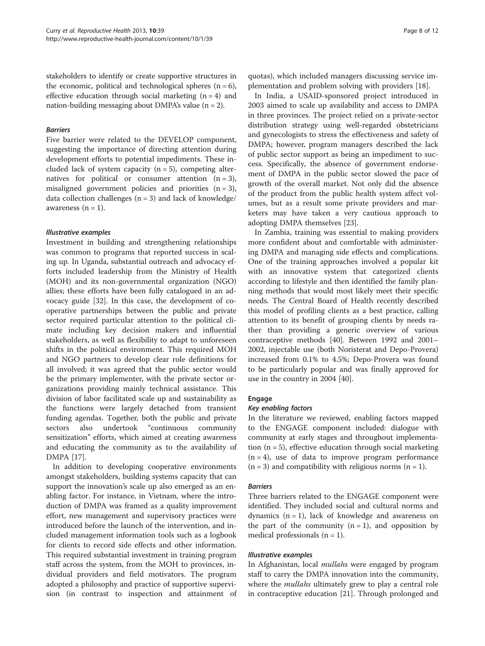stakeholders to identify or create supportive structures in the economic, political and technological spheres  $(n = 6)$ , effective education through social marketing  $(n = 4)$  and nation-building messaging about DMPA's value  $(n = 2)$ .

### **Barriers**

Five barrier were related to the DEVELOP component, suggesting the importance of directing attention during development efforts to potential impediments. These included lack of system capacity  $(n = 5)$ , competing alternatives for political or consumer attention  $(n = 3)$ , misaligned government policies and priorities  $(n = 3)$ , data collection challenges  $(n = 3)$  and lack of knowledge/ awareness  $(n = 1)$ .

Investment in building and strengthening relationships was common to programs that reported success in scaling up. In Uganda, substantial outreach and advocacy efforts included leadership from the Ministry of Health (MOH) and its non-governmental organization (NGO) allies; these efforts have been fully catalogued in an advocacy guide [\[32](#page-11-0)]. In this case, the development of cooperative partnerships between the public and private sector required particular attention to the political climate including key decision makers and influential stakeholders, as well as flexibility to adapt to unforeseen shifts in the political environment. This required MOH and NGO partners to develop clear role definitions for all involved; it was agreed that the public sector would be the primary implementer, with the private sector organizations providing mainly technical assistance. This division of labor facilitated scale up and sustainability as the functions were largely detached from transient funding agendas. Together, both the public and private sectors also undertook "continuous community sensitization" efforts, which aimed at creating awareness and educating the community as to the availability of DMPA [\[17\]](#page-10-0).

In addition to developing cooperative environments amongst stakeholders, building systems capacity that can support the innovation's scale up also emerged as an enabling factor. For instance, in Vietnam, where the introduction of DMPA was framed as a quality improvement effort, new management and supervisory practices were introduced before the launch of the intervention, and included management information tools such as a logbook for clients to record side effects and other information. This required substantial investment in training program staff across the system, from the MOH to provinces, individual providers and field motivators. The program adopted a philosophy and practice of supportive supervision (in contrast to inspection and attainment of quotas), which included managers discussing service implementation and problem solving with providers [\[18](#page-10-0)].

In India, a USAID-sponsored project introduced in 2003 aimed to scale up availability and access to DMPA in three provinces. The project relied on a private-sector distribution strategy using well-regarded obstetricians and gynecologists to stress the effectiveness and safety of DMPA; however, program managers described the lack of public sector support as being an impediment to success. Specifically, the absence of government endorsement of DMPA in the public sector slowed the pace of growth of the overall market. Not only did the absence of the product from the public health system affect volumes, but as a result some private providers and marketers may have taken a very cautious approach to adopting DMPA themselves [\[23\]](#page-11-0).

In Zambia, training was essential to making providers more confident about and comfortable with administering DMPA and managing side effects and complications. One of the training approaches involved a popular kit with an innovative system that categorized clients according to lifestyle and then identified the family planning methods that would most likely meet their specific needs. The Central Board of Health recently described this model of profiling clients as a best practice, calling attention to its benefit of grouping clients by needs rather than providing a generic overview of various contraceptive methods [\[40\]](#page-11-0). Between 1992 and 2001– 2002, injectable use (both Noristerat and Depo-Provera) increased from 0.1% to 4.5%; Depo-Provera was found to be particularly popular and was finally approved for use in the country in 2004 [\[40\]](#page-11-0).

### Engage

In the literature we reviewed, enabling factors mapped to the ENGAGE component included: dialogue with community at early stages and throughout implementation  $(n = 5)$ , effective education through social marketing  $(n = 4)$ , use of data to improve program performance  $(n = 3)$  and compatibility with religious norms  $(n = 1)$ .

Three barriers related to the ENGAGE component were identified. They included social and cultural norms and dynamics  $(n = 1)$ , lack of knowledge and awareness on the part of the community  $(n = 1)$ , and opposition by medical professionals  $(n = 1)$ .

In Afghanistan, local *mullahs* were engaged by program staff to carry the DMPA innovation into the community, where the *mullahs* ultimately grew to play a central role in contraceptive education [[21\]](#page-11-0). Through prolonged and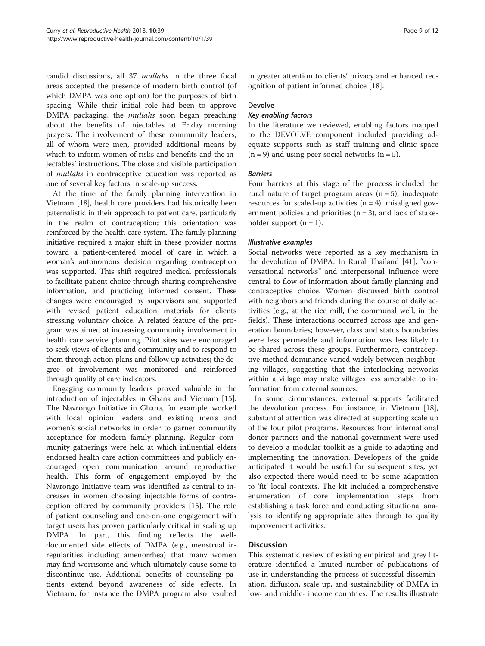candid discussions, all 37 mullahs in the three focal areas accepted the presence of modern birth control (of which DMPA was one option) for the purposes of birth spacing. While their initial role had been to approve DMPA packaging, the mullahs soon began preaching about the benefits of injectables at Friday morning prayers. The involvement of these community leaders, all of whom were men, provided additional means by which to inform women of risks and benefits and the injectables' instructions. The close and visible participation of mullahs in contraceptive education was reported as one of several key factors in scale-up success.

At the time of the family planning intervention in Vietnam [[18](#page-10-0)], health care providers had historically been paternalistic in their approach to patient care, particularly in the realm of contraception; this orientation was reinforced by the health care system. The family planning initiative required a major shift in these provider norms toward a patient-centered model of care in which a woman's autonomous decision regarding contraception was supported. This shift required medical professionals to facilitate patient choice through sharing comprehensive information, and practicing informed consent. These changes were encouraged by supervisors and supported with revised patient education materials for clients stressing voluntary choice. A related feature of the program was aimed at increasing community involvement in health care service planning. Pilot sites were encouraged to seek views of clients and community and to respond to them through action plans and follow up activities; the degree of involvement was monitored and reinforced through quality of care indicators.

Engaging community leaders proved valuable in the introduction of injectables in Ghana and Vietnam [\[15](#page-10-0)]. The Navrongo Initiative in Ghana, for example, worked with local opinion leaders and existing men's and women's social networks in order to garner community acceptance for modern family planning. Regular community gatherings were held at which influential elders endorsed health care action committees and publicly encouraged open communication around reproductive health. This form of engagement employed by the Navrongo Initiative team was identified as central to increases in women choosing injectable forms of contraception offered by community providers [[15\]](#page-10-0). The role of patient counseling and one-on-one engagement with target users has proven particularly critical in scaling up DMPA. In part, this finding reflects the welldocumented side effects of DMPA (e.g., menstrual irregularities including amenorrhea) that many women may find worrisome and which ultimately cause some to discontinue use. Additional benefits of counseling patients extend beyond awareness of side effects. In Vietnam, for instance the DMPA program also resulted in greater attention to clients' privacy and enhanced recognition of patient informed choice [[18](#page-10-0)].

### Devolve

In the literature we reviewed, enabling factors mapped to the DEVOLVE component included providing adequate supports such as staff training and clinic space  $(n = 9)$  and using peer social networks  $(n = 5)$ .

### *<u>Rarriers</u>*

Four barriers at this stage of the process included the rural nature of target program areas  $(n = 5)$ , inadequate resources for scaled-up activities  $(n = 4)$ , misaligned government policies and priorities  $(n = 3)$ , and lack of stakeholder support  $(n = 1)$ .

Social networks were reported as a key mechanism in the devolution of DMPA. In Rural Thailand [\[41](#page-11-0)], "conversational networks" and interpersonal influence were central to flow of information about family planning and contraceptive choice. Women discussed birth control with neighbors and friends during the course of daily activities (e.g., at the rice mill, the communal well, in the fields). These interactions occurred across age and generation boundaries; however, class and status boundaries were less permeable and information was less likely to be shared across these groups. Furthermore, contraceptive method dominance varied widely between neighboring villages, suggesting that the interlocking networks within a village may make villages less amenable to information from external sources.

In some circumstances, external supports facilitated the devolution process. For instance, in Vietnam [\[18](#page-10-0)], substantial attention was directed at supporting scale up of the four pilot programs. Resources from international donor partners and the national government were used to develop a modular toolkit as a guide to adapting and implementing the innovation. Developers of the guide anticipated it would be useful for subsequent sites, yet also expected there would need to be some adaptation to 'fit' local contexts. The kit included a comprehensive enumeration of core implementation steps from establishing a task force and conducting situational analysis to identifying appropriate sites through to quality improvement activities.

## **Discussion**

This systematic review of existing empirical and grey literature identified a limited number of publications of use in understanding the process of successful dissemination, diffusion, scale up, and sustainability of DMPA in low- and middle- income countries. The results illustrate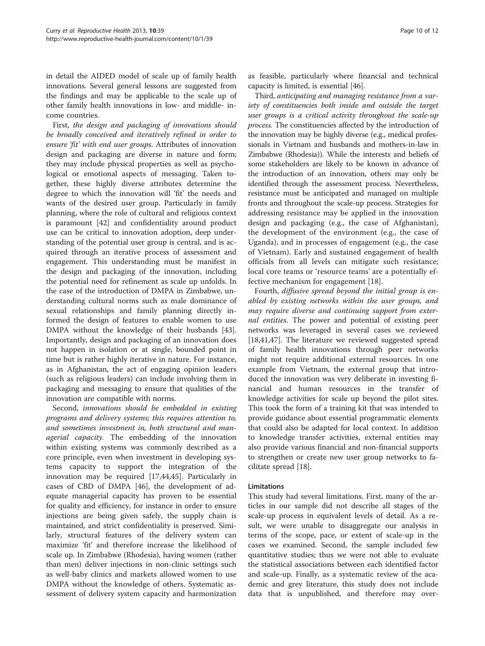in detail the AIDED model of scale up of family health innovations. Several general lessons are suggested from the findings and may be applicable to the scale up of other family health innovations in low- and middle- income countries.

First, the design and packaging of innovations should be broadly conceived and iteratively refined in order to ensure 'fit' with end user groups. Attributes of innovation design and packaging are diverse in nature and form; they may include physical properties as well as psychological or emotional aspects of messaging. Taken together, these highly diverse attributes determine the degree to which the innovation will 'fit' the needs and wants of the desired user group. Particularly in family planning, where the role of cultural and religious context is paramount [[42\]](#page-11-0) and confidentiality around product use can be critical to innovation adoption, deep understanding of the potential user group is central, and is acquired through an iterative process of assessment and engagement. This understanding must be manifest in the design and packaging of the innovation, including the potential need for refinement as scale up unfolds. In the case of the introduction of DMPA in Zimbabwe, understanding cultural norms such as male dominance of sexual relationships and family planning directly informed the design of features to enable women to use DMPA without the knowledge of their husbands [\[43](#page-11-0)]. Importantly, design and packaging of an innovation does not happen in isolation or at single, bounded point in time but is rather highly iterative in nature. For instance, as in Afghanistan, the act of engaging opinion leaders (such as religious leaders) can include involving them in packaging and messaging to ensure that qualities of the innovation are compatible with norms.

Second, innovations should be embedded in existing programs and delivery systems; this requires attention to, and sometimes investment in, both structural and managerial capacity. The embedding of the innovation within existing systems was commonly described as a core principle, even when investment in developing systems capacity to support the integration of the innovation may be required [\[17,](#page-10-0)[44,45\]](#page-11-0). Particularly in cases of CBD of DMPA [\[46\]](#page-11-0), the development of adequate managerial capacity has proven to be essential for quality and efficiency, for instance in order to ensure injections are being given safely, the supply chain is maintained, and strict confidentiality is preserved. Similarly, structural features of the delivery system can maximize 'fit' and therefore increase the likelihood of scale up. In Zimbabwe (Rhodesia), having women (rather than men) deliver injections in non-clinic settings such as well-baby clinics and markets allowed women to use DMPA without the knowledge of others. Systematic assessment of delivery system capacity and harmonization

as feasible, particularly where financial and technical capacity is limited, is essential [\[46](#page-11-0)].

Third, anticipating and managing resistance from a variety of constituencies both inside and outside the target user groups is a critical activity throughout the scale-up process. The constituencies affected by the introduction of the innovation may be highly diverse (e.g., medical professionals in Vietnam and husbands and mothers-in-law in Zimbabwe (Rhodesia)). While the interests and beliefs of some stakeholders are likely to be known in advance of the introduction of an innovation, others may only be identified through the assessment process. Nevertheless, resistance must be anticipated and managed on multiple fronts and throughout the scale-up process. Strategies for addressing resistance may be applied in the innovation design and packaging (e.g., the case of Afghanistan), the development of the environment (e.g., the case of Uganda), and in processes of engagement (e.g., the case of Vietnam). Early and sustained engagement of health officials from all levels can mitigate such resistance; local core teams or 'resource teams' are a potentially effective mechanism for engagement [\[18](#page-10-0)].

Fourth, diffusive spread beyond the initial group is enabled by existing networks within the user groups, and may require diverse and continuing support from external entities. The power and potential of existing peer networks was leveraged in several cases we reviewed [[18,](#page-10-0)[41,47\]](#page-11-0). The literature we reviewed suggested spread of family health innovations through peer networks might not require additional external resources. In one example from Vietnam, the external group that introduced the innovation was very deliberate in investing financial and human resources in the transfer of knowledge activities for scale up beyond the pilot sites. This took the form of a training kit that was intended to provide guidance about essential programmatic elements that could also be adapted for local context. In addition to knowledge transfer activities, external entities may also provide various financial and non-financial supports to strengthen or create new user group networks to facilitate spread [[18](#page-10-0)].

## Limitations

This study had several limitations. First, many of the articles in our sample did not describe all stages of the scale-up process in equivalent levels of detail. As a result, we were unable to disaggregate our analysis in terms of the scope, pace, or extent of scale-up in the cases we examined. Second, the sample included few quantitative studies; thus we were not able to evaluate the statistical associations between each identified factor and scale-up. Finally, as a systematic review of the academic and grey literature, this study does not include data that is unpublished, and therefore may over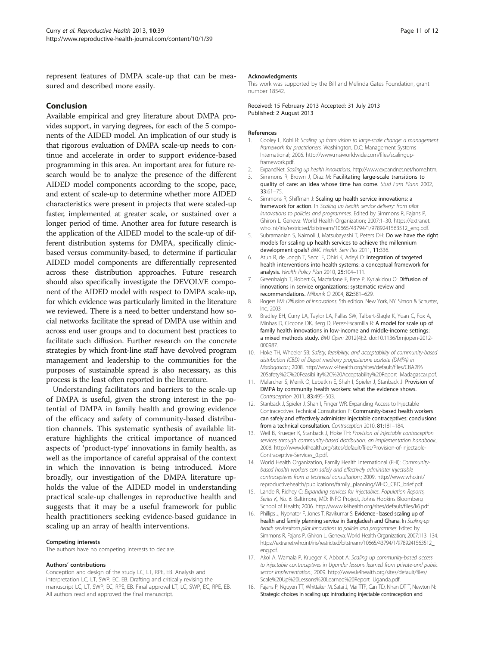<span id="page-10-0"></span>represent features of DMPA scale-up that can be measured and described more easily.

### Conclusion

Available empirical and grey literature about DMPA provides support, in varying degrees, for each of the 5 components of the AIDED model. An implication of our study is that rigorous evaluation of DMPA scale-up needs to continue and accelerate in order to support evidence-based programming in this area. An important area for future research would be to analyze the presence of the different AIDED model components according to the scope, pace, and extent of scale-up to determine whether more AIDED characteristics were present in projects that were scaled-up faster, implemented at greater scale, or sustained over a longer period of time. Another area for future research is the application of the AIDED model to the scale-up of different distribution systems for DMPA, specifically clinicbased versus community-based, to determine if particular AIDED model components are differentially represented across these distribution approaches. Future research should also specifically investigate the DEVOLVE component of the AIDED model with respect to DMPA scale-up, for which evidence was particularly limited in the literature we reviewed. There is a need to better understand how social networks facilitate the spread of DMPA use within and across end user groups and to document best practices to facilitate such diffusion. Further research on the concrete strategies by which front-line staff have devolved program management and leadership to the communities for the purposes of sustainable spread is also necessary, as this process is the least often reported in the literature.

Understanding facilitators and barriers to the scale-up of DMPA is useful, given the strong interest in the potential of DMPA in family health and growing evidence of the efficacy and safety of community-based distribution channels. This systematic synthesis of available literature highlights the critical importance of nuanced aspects of 'product-type' innovations in family health, as well as the importance of careful appraisal of the context in which the innovation is being introduced. More broadly, our investigation of the DMPA literature upholds the value of the AIDED model in understanding practical scale-up challenges in reproductive health and suggests that it may be a useful framework for public health practitioners seeking evidence-based guidance in scaling up an array of health interventions.

### Competing interests

The authors have no competing interests to declare.

### Authors' contributions

Conception and design of the study LC, LT, RPE, EB. Analysis and interpretation LC, LT, SWP, EC, EB. Drafting and critically revising the manuscript LC, LT, SWP, EC, RPE, EB. Final approval LT, LC, SWP, EC, RPE, EB. All authors read and approved the final manuscript.

### Acknowledgments

This work was supported by the Bill and Melinda Gates Foundation, grant number 18542.

Received: 15 February 2013 Accepted: 31 July 2013 Published: 2 August 2013

### References

- 1. Cooley L, Kohl R: Scaling up from vision to large-scale change: a management framework for practitioners. Washington, D.C: Management Systems International; 2006. [http://www.msiworldwide.com/files/scalingup](http://www.msiworldwide.com/files/scalingup-framework.pdf)[framework.pdf.](http://www.msiworldwide.com/files/scalingup-framework.pdf)
- 2. ExpandNet: Scaling up health innovations. [http://www.expandnet.net/home.htm.](http://www.expandnet.net/home.htm)
- 3. Simmons R, Brown J, Diaz M: Facilitating large-scale transitions to quality of care: an idea whose time has come. Stud Fam Plann 2002, 33:61–75.
- 4. Simmons R, Shiffman J: Scaling up health service innovations: a framework for action. In Scaling up health service delivery: from pilot innovations to policies and programmes. Edited by Simmons R, Fajans P, Ghiron L. Geneva: World Health Organization; 2007:1–30. [https://extranet.](https://extranet.who.int/iris/restricted/bitstream/10665/43794/1/9789241563512_eng.pdf) [who.int/iris/restricted/bitstream/10665/43794/1/9789241563512\\_eng.pdf](https://extranet.who.int/iris/restricted/bitstream/10665/43794/1/9789241563512_eng.pdf).
- 5. Subramanian S, Naimoli J, Matsubayashi T, Peters DH: Do we have the right models for scaling up health services to achieve the millennium development goals? BMC Health Serv Res 2011, 11:336.
- 6. Atun R, de Jongh T, Secci F, Ohiri K, Adeyi O: Integration of targeted health interventions into health systems: a conceptual framework for analysis. Health Policy Plan 2010, 25:104–111.
- 7. Greenhalgh T, Robert G, Macfarlane F, Bate P, Kyriakidou O: Diffusion of innovations in service organizations: systematic review and recommendations. Milbank Q 2004, 82:581–629.
- 8. Rogers FM: Diffusion of innovations. 5th edition. New York, NY: Simon & Schuster, Inc.; 2003.
- 9. Bradley EH, Curry LA, Taylor LA, Pallas SW, Talbert-Slagle K, Yuan C, Fox A, Minhas D, Ciccone DK, Berg D, Perez-Escamilla R: A model for scale up of family health innovations in low-income and middle-income settings: a mixed methods study. BMJ Open 2012(4):2. doi:[10.1136/bmjopen-2012-](http://dx.doi.org/10.1136/bmjopen-2012-000987) [000987](http://dx.doi.org/10.1136/bmjopen-2012-000987).
- 10. Hoke TH, Wheeler SB: Safety, feasibility, and acceptability of community-based distribution (CBD) of Depot medroxy progesterone acetate (DMPA) in Madagascar.; 2008. [http://www.k4health.org/sites/default/files/CBA2I%](http://www.k4health.org/sites/default/files/CBA2I%20Safety%2C%20Feasibility%2C%20Acceptability%20Report_Madagascar.pdf) [20Safety%2C%20Feasibility%2C%20Acceptability%20Report\\_Madagascar.pdf.](http://www.k4health.org/sites/default/files/CBA2I%20Safety%2C%20Feasibility%2C%20Acceptability%20Report_Madagascar.pdf)
- 11. Malarcher S, Meirik O, Lebetkin E, Shah I, Spieler J, Stanback J; Provision of DMPA by community health workers: what the evidence shows. Contraception 2011, 83:495–503.
- 12. Stanback J, Spieler J, Shah I, Finger WR, Expanding Access to Injectable Contraceptives Technical Consultation P: Community-based health workers can safely and effectively administer injectable contraceptives: conclusions from a technical consultation. Contraception 2010, 81:181-184.
- 13. Weil B, Krueger K, Stanback J, Hoke TH: Provision of injectable contraception services through community-based distribution: an implementation handbook.; 2008. [http://www.k4health.org/sites/default/files/Provision-of-Injectable-](http://www.k4health.org/sites/default/files/Provision-of-Injectable-Contraceptive-Services_0.pdf)[Contraceptive-Services\\_0.pdf.](http://www.k4health.org/sites/default/files/Provision-of-Injectable-Contraceptive-Services_0.pdf)
- 14. World Health Organization, Family Health International (FHI): Communitybased health workers can safely and effectively administer injectable contraceptives from a technical consultation.; 2009. [http://www.who.int/](http://www.who.int/reproductivehealth/publications/family_planning/WHO_CBD_brief.pdf) [reproductivehealth/publications/family\\_planning/WHO\\_CBD\\_brief.pdf.](http://www.who.int/reproductivehealth/publications/family_planning/WHO_CBD_brief.pdf)
- 15. Lande R, Richey C: Expanding services for injectables. Population Reports, Series K, No. 6. Baltimore, MD: INFO Project, Johns Hopkins Bloomberg School of Health; 2006. [http://www.k4health.org/sites/default/files/k6.pdf.](http://www.k4health.org/sites/default/files/k6.pdf)
- 16. Phillips J, Nyonator F, Jones T, Ravikumar S: Evidence based scaling up of health and family planning service in Bangladesh and Ghana. In Scaling-up health servicesfrom pilot innovations to policies and programmes. Edited by Simmons R, Fajans P, Ghiron L. Geneva: World Health Organization; 2007:113–134. [https://extranet.who.int/iris/restricted/bitstream/10665/43794/1/9789241563512\\_](https://extranet.who.int/iris/restricted/bitstream/10665/43794/1/9789241563512_eng.pdf) [eng.pdf](https://extranet.who.int/iris/restricted/bitstream/10665/43794/1/9789241563512_eng.pdf).
- 17. Akol A, Wamala P, Krueger K, Abbot A: Scaling up community-based access to injectable contraceptives in Uganda: lessons learned from private-and public sector implementation.; 2009. [http://www.k4health.org/sites/default/files/](http://www.k4health.org/sites/default/files/Scale%20Up%20Lessons%20Learned%20Report_Uganda.pdf) [Scale%20Up%20Lessons%20Learned%20Report\\_Uganda.pdf.](http://www.k4health.org/sites/default/files/Scale%20Up%20Lessons%20Learned%20Report_Uganda.pdf)
- 18. Fajans P, Nguyen TT, Whittaker M, Satai J, Mai TTP, Can TD, Nhan DT T, Newton N: Strategic choices in scaling up: introducing injectable contraception and